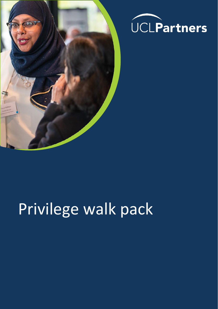



# Privilege walk pack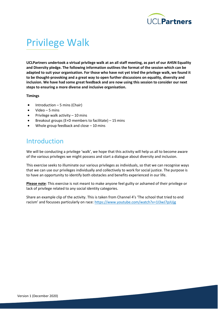

# Privilege Walk

**UCLPartners undertook a virtual privilege walk at an all staff meeting, as part of our AHSN Equality and Diversity pledge. The following information outlines the format of the session which can be adapted to suit your organisation. For those who have not yet tried the privilege walk, we found it to be thought-provoking and a great way to open further discussions on equality, diversity and inclusion. We have had some great feedback and are now using this session to consider our next steps to ensuring a more diverse and inclusive organisation.**

#### **Timings**

- Introduction  $-5$  mins (Chair)
- Video 5 mins
- Privilege walk activity  $-10$  mins
- Breakout groups (E+D members to facilitate) 15 mins
- Whole group feedback and close  $-10$  mins

### Introduction

We will be conducting a privilege 'walk', we hope that this activity will help us all to become aware of the various privileges we might possess and start a dialogue about diversity and inclusion.

This exercise seeks to illuminate our various privileges as individuals, so that we can recognise ways that we can use our privileges individually and collectively to work for social justice. The purpose is to have an opportunity to identify both obstacles and benefits experienced in our life.

**Please note**: This exercise is not meant to make anyone feel guilty or ashamed of their privilege or lack of privilege related to any social identity categories.

Share an example clip of the activity. This is taken from Channel 4's 'The school that tried to end racism' and focusses particularly on race:<https://www.youtube.com/watch?v=1I3wJ7pJUjg>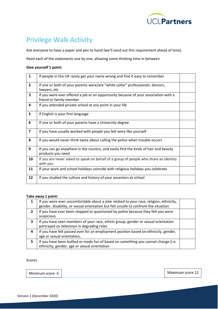

### Privilege Walk Activity

Ask everyone to have a paper and pen to hand (we'll send out this requirement ahead of time).

Read each of the statements one by one, allowing some thinking time in between

#### **Give yourself 1 point:**

| $\mathbf{1}$            | If people in the UK rarely get your name wrong and find it easy to remember                                    |  |
|-------------------------|----------------------------------------------------------------------------------------------------------------|--|
| $\overline{2}$          | If one or both of your parents were/are "white collar" professionals: doctors,<br>lawyers, etc                 |  |
| 3                       | If you were ever offered a job or an opportunity because of your association with a<br>friend or family member |  |
| 4                       | If you attended private school at any point in your life                                                       |  |
| 5                       | If English is your first language                                                                              |  |
| 6                       | If one or both of your parents have a University degree                                                        |  |
| $\overline{\mathbf{z}}$ | If you have usually worked with people you felt were like yourself                                             |  |
| 8                       | If you would never think twice about calling the police when trouble occurs                                    |  |
| 9                       | If you can go anywhere in the country, and easily find the kinds of hair and beauty<br>products you need       |  |
| 10                      | If you are never asked to speak on behalf of a group of people who share an identity<br>with you               |  |
| 11                      | If your work and school holidays coincide with religious holidays you celebrate                                |  |
| 12                      | If you studied the culture and history of your ancestors at school                                             |  |

#### **Take away 1 point:**

|                | If you were ever uncomfortable about a joke related to your race, religion, ethnicity,<br>gender, disability, or sexual orientation but felt unsafe to confront the situation |  |
|----------------|-------------------------------------------------------------------------------------------------------------------------------------------------------------------------------|--|
| $\overline{2}$ | If you have ever been stopped or questioned by police because they felt you were<br>suspicious                                                                                |  |
| 3              | If you have seen members of your race, ethnic group, gender or sexual orientation<br>portrayed on television in degrading roles                                               |  |
| 4              | If you have felt passed over for an employment position based on ethnicity, gender,<br>age or sexual orientation,                                                             |  |
| 5              | If you have been bullied or made fun of based on something you cannot change (i.e.<br>ethnicity, gender, age or sexual orientation                                            |  |

#### Scores

Minimum score -5 Minimum score -5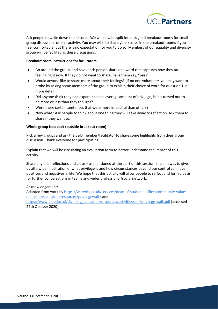

Ask people to write down their scores. We will now be split into assigned breakout rooms for small group discussions on this activity. You may wish to share your scores in the breakout rooms if you feel comfortable, but there is no expectation for you to do so. Members of our equality and diversity group will be facilitating these discussions.

#### **Breakout room instructions forfacilitators**

- Go around the group, and have each person share one word that captures how they are feeling right now. If they do not want to share, have them say, "pass".
- Would anyone like to share more about their feelings? (If no one volunteers you may want to probe by asking some members of the group to explain their choice of word for question 1 in more detail).
- Did anyone think they had experienced an average amount of privilege, but it turned out to be more or less than they thought?
- Were there certain sentences that were more impactful than others?
- Now what? Ask people to think about one thing they will take away to reflect on. Ask them to share if they want to.

#### **Whole group feedback (outside breakout room)**

Pick a few groups and ask the E&D member/facilitator to share some highlights from their group discussion. Thank everyone for participating.

Explain that we will be circulating an evaluation form to better understand the impact of this activity.

Share any final reflections and close – as mentioned at the start of this session, the aim was to give us all a wider illustration of what privilege is and how circumstances beyond our control can have positives and negatives in life. We hope that this activity will allow people to reflect and form a basis for further conversations in teams and wider professional/social network.

#### Acknowledgements

Adapted from work by [https://warwick.ac.uk/services/dean-of-students-office/community-values](https://warwick.ac.uk/services/dean-of-students-office/community-values-education/educationresources/privilegewalk/)[education/educationresources/privilegewalk/](https://warwick.ac.uk/services/dean-of-students-office/community-values-education/educationresources/privilegewalk/) and [https://www.uh.edu/cdi/diversity\\_education/resources/activities/pdf/privilege-walk.pdf](https://www.uh.edu/cdi/diversity_education/resources/activities/pdf/privilege-walk.pdf) [accessed 27th October 2020]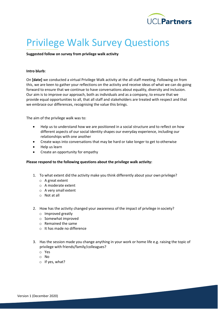

## Privilege Walk Survey Questions

#### **Suggested follow on survey from privilege walk activity**

#### **Intro blurb:**

On **[date]** we conducted a virtual Privilege Walk activity at the all staff meeting. Following on from this, we are keen to gather your reflections on the activity and receive ideas of what we can do going forward to ensure that we continue to have conversations about equality, diversity and inclusion. Our aim is to improve our approach, both as individuals and as a company, to ensure that we provide equal opportunities to all, that all staff and stakeholders are treated with respect and that we embrace our differences, recognising the value this brings.

The aim of the privilege walk was to:

- Help us to understand how we are positioned in a social structure and to reflect on how different aspects of our social identity shapes our everyday experience, including our relationships with one another
- Create ways into conversations that may be hard or take longer to get to otherwise
- Help us learn
- Create an opportunity for empathy

#### **Please respond to the following questions about the privilege walk activity:**

- 1. To what extent did the activity make you think differently about your own privilege?
	- o A great extent
	- o A moderate extent
	- o A very small extent
	- o Not at all
- 2. How has the activity changed your awareness of the impact of privilege in society?
	- o Improved greatly
	- o Somewhat improved
	- o Remained the same
	- o It has made no difference
- 3. Has the session made you change anything in your work or home life e.g. raising the topic of privilege with friends/family/colleagues?
	- o Yes
	- o No
	- o If yes, what?